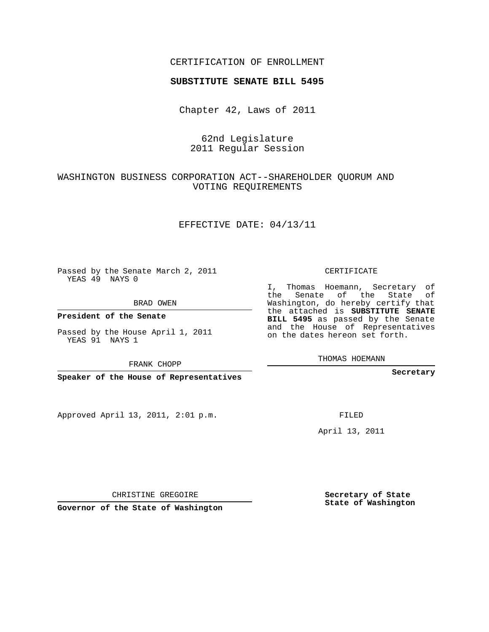### CERTIFICATION OF ENROLLMENT

#### **SUBSTITUTE SENATE BILL 5495**

Chapter 42, Laws of 2011

62nd Legislature 2011 Regular Session

## WASHINGTON BUSINESS CORPORATION ACT--SHAREHOLDER QUORUM AND VOTING REQUIREMENTS

### EFFECTIVE DATE: 04/13/11

Passed by the Senate March 2, 2011 YEAS 49 NAYS 0

BRAD OWEN

**President of the Senate**

Passed by the House April 1, 2011 YEAS 91 NAYS 1

FRANK CHOPP

**Speaker of the House of Representatives**

Approved April 13, 2011, 2:01 p.m.

CERTIFICATE

I, Thomas Hoemann, Secretary of the Senate of the State of Washington, do hereby certify that the attached is **SUBSTITUTE SENATE BILL 5495** as passed by the Senate and the House of Representatives on the dates hereon set forth.

THOMAS HOEMANN

**Secretary**

FILED

April 13, 2011

CHRISTINE GREGOIRE

**Governor of the State of Washington**

**Secretary of State State of Washington**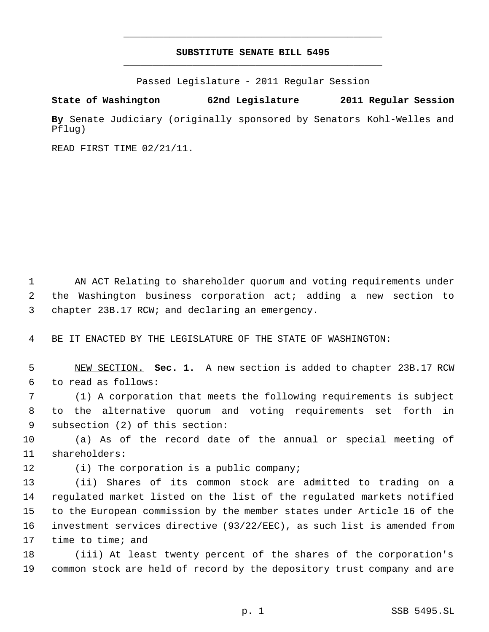# **SUBSTITUTE SENATE BILL 5495** \_\_\_\_\_\_\_\_\_\_\_\_\_\_\_\_\_\_\_\_\_\_\_\_\_\_\_\_\_\_\_\_\_\_\_\_\_\_\_\_\_\_\_\_\_

\_\_\_\_\_\_\_\_\_\_\_\_\_\_\_\_\_\_\_\_\_\_\_\_\_\_\_\_\_\_\_\_\_\_\_\_\_\_\_\_\_\_\_\_\_

Passed Legislature - 2011 Regular Session

**State of Washington 62nd Legislature 2011 Regular Session**

**By** Senate Judiciary (originally sponsored by Senators Kohl-Welles and Pflug)

READ FIRST TIME 02/21/11.

1 AN ACT Relating to shareholder quorum and voting requirements under the Washington business corporation act; adding a new section to chapter 23B.17 RCW; and declaring an emergency.

BE IT ENACTED BY THE LEGISLATURE OF THE STATE OF WASHINGTON:

 NEW SECTION. **Sec. 1.** A new section is added to chapter 23B.17 RCW to read as follows:

 (1) A corporation that meets the following requirements is subject to the alternative quorum and voting requirements set forth in subsection (2) of this section:

 (a) As of the record date of the annual or special meeting of shareholders:

12 (i) The corporation is a public company;

 (ii) Shares of its common stock are admitted to trading on a regulated market listed on the list of the regulated markets notified to the European commission by the member states under Article 16 of the investment services directive (93/22/EEC), as such list is amended from time to time; and

 (iii) At least twenty percent of the shares of the corporation's common stock are held of record by the depository trust company and are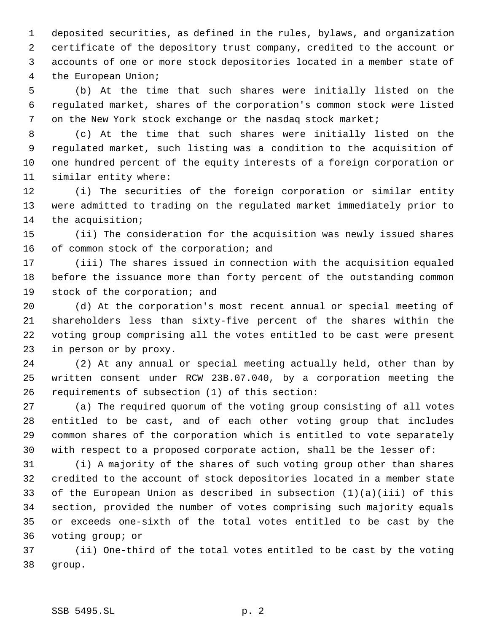deposited securities, as defined in the rules, bylaws, and organization certificate of the depository trust company, credited to the account or accounts of one or more stock depositories located in a member state of the European Union;

 (b) At the time that such shares were initially listed on the regulated market, shares of the corporation's common stock were listed 7 on the New York stock exchange or the nasdag stock market;

 (c) At the time that such shares were initially listed on the regulated market, such listing was a condition to the acquisition of one hundred percent of the equity interests of a foreign corporation or similar entity where:

 (i) The securities of the foreign corporation or similar entity were admitted to trading on the regulated market immediately prior to the acquisition;

 (ii) The consideration for the acquisition was newly issued shares 16 of common stock of the corporation; and

 (iii) The shares issued in connection with the acquisition equaled before the issuance more than forty percent of the outstanding common stock of the corporation; and

 (d) At the corporation's most recent annual or special meeting of shareholders less than sixty-five percent of the shares within the voting group comprising all the votes entitled to be cast were present in person or by proxy.

 (2) At any annual or special meeting actually held, other than by written consent under RCW 23B.07.040, by a corporation meeting the requirements of subsection (1) of this section:

 (a) The required quorum of the voting group consisting of all votes entitled to be cast, and of each other voting group that includes common shares of the corporation which is entitled to vote separately with respect to a proposed corporate action, shall be the lesser of:

 (i) A majority of the shares of such voting group other than shares credited to the account of stock depositories located in a member state of the European Union as described in subsection (1)(a)(iii) of this section, provided the number of votes comprising such majority equals or exceeds one-sixth of the total votes entitled to be cast by the voting group; or

 (ii) One-third of the total votes entitled to be cast by the voting group.